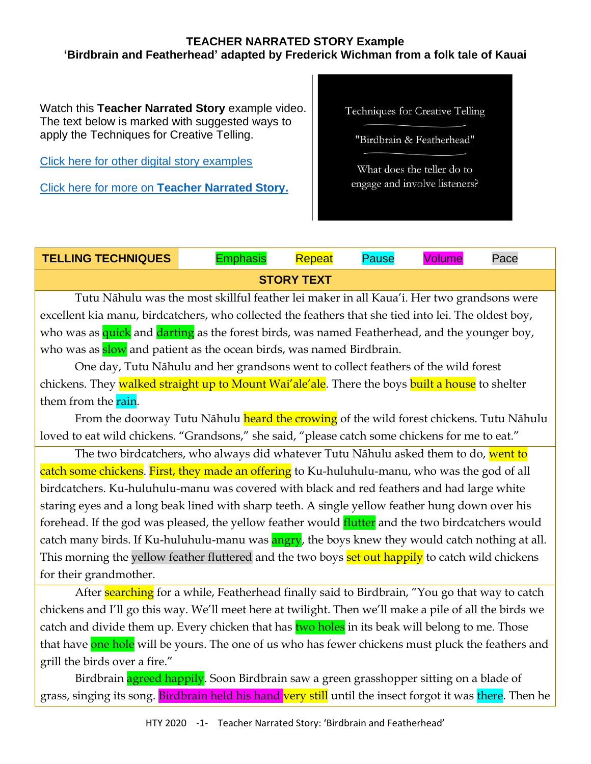## **TEACHER NARRATED STORY Example 'Birdbrain and Featherhead' adapted by Frederick Wichman from a folk tale of Kauai**

Watch this **Teacher Narrated Story** example video. The text below is marked with suggested ways to apply the Techniques for Creative Telling.

[Click here for other digital story examples](https://www.htyweb.org/digital-resources-for-teachers/teacher-narrated-story-drama/)

Click here for more on **[Teacher Narrated Story.](https://www.htyweb.org/digital-resources-for-teachers/teacher-narrated-story-drama/)**

Techniques for Creative Telling

"Birdbrain & Featherhead"

What does the teller do to engage and involve listeners?

## **TELLING TECHNIQUES** Emphasis Repeat Pause Volume Pace **STORY TEXT**

Tutu Nāhulu was the most skillful feather lei maker in all Kaua'i. Her two grandsons were excellent kia manu, birdcatchers, who collected the feathers that she tied into lei. The oldest boy, who was as quick and darting as the forest birds, was named Featherhead, and the younger boy, who was as **slow** and patient as the ocean birds, was named Birdbrain.

One day, Tutu Nāhulu and her grandsons went to collect feathers of the wild forest chickens. They walked straight up to Mount Wai'ale'ale. There the boys built a house to shelter them from the rain.

From the doorway Tutu Nāhulu heard the crowing of the wild forest chickens. Tutu Nāhulu loved to eat wild chickens. "Grandsons," she said, "please catch some chickens for me to eat."

The two birdcatchers, who always did whatever Tutu Nāhulu asked them to do, went to catch some chickens. First, they made an offering to Ku-huluhulu-manu, who was the god of all birdcatchers. Ku-huluhulu-manu was covered with black and red feathers and had large white staring eyes and a long beak lined with sharp teeth. A single yellow feather hung down over his forehead. If the god was pleased, the yellow feather would **flutter** and the two birdcatchers would catch many birds. If Ku-huluhulu-manu was **angry**, the boys knew they would catch nothing at all. This morning the yellow feather fluttered and the two boys **set out happily** to catch wild chickens for their grandmother.

After **searching** for a while, Featherhead finally said to Birdbrain, "You go that way to catch chickens and I'll go this way. We'll meet here at twilight. Then we'll make a pile of all the birds we catch and divide them up. Every chicken that has two holes in its beak will belong to me. Those that have one hole will be yours. The one of us who has fewer chickens must pluck the feathers and grill the birds over a fire."

Birdbrain **agreed happily**. Soon Birdbrain saw a green grasshopper sitting on a blade of grass, singing its song. Birdbrain held his hand very still until the insect forgot it was there. Then he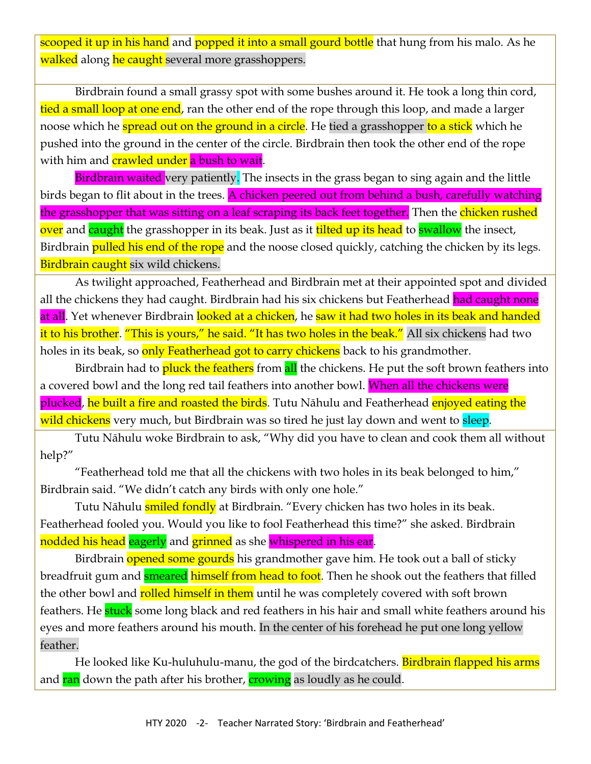scooped it up in his hand and popped it into a small gourd bottle that hung from his malo. As he walked along he caught several more grasshoppers.

Birdbrain found a small grassy spot with some bushes around it. He took a long thin cord, tied a small loop at one end, ran the other end of the rope through this loop, and made a larger noose which he **spread out on the ground in a circle**. He tied a grasshopper to a stick which he pushed into the ground in the center of the circle. Birdbrain then took the other end of the rope with him and **crawled under** a bush to wait.

Birdbrain waited very patiently. The insects in the grass began to sing again and the little birds began to flit about in the trees. A chicken peered out from behind a bush, carefully watching the grasshopper that was sitting on a leaf scraping its back feet together. Then the chicken rushed over and caught the grasshopper in its beak. Just as it tilted up its head to swallow the insect, Birdbrain **pulled his end of the rope** and the noose closed quickly, catching the chicken by its legs. Birdbrain caught six wild chickens.

As twilight approached, Featherhead and Birdbrain met at their appointed spot and divided all the chickens they had caught. Birdbrain had his six chickens but Featherhead had caught none at all. Yet whenever Birdbrain looked at a chicken, he saw it had two holes in its beak and handed it to his brother. "This is yours," he said. "It has two holes in the beak." All six chickens had two holes in its beak, so only Featherhead got to carry chickens back to his grandmother.

Birdbrain had to **pluck the feathers** from **all** the chickens. He put the soft brown feathers into a covered bowl and the long red tail feathers into another bowl. When all the chickens were plucked, he built a fire and roasted the birds. Tutu Nāhulu and Featherhead enjoyed eating the wild chickens very much, but Birdbrain was so tired he just lay down and went to sleep.

Tutu Nāhulu woke Birdbrain to ask, "Why did you have to clean and cook them all without help?"

"Featherhead told me that all the chickens with two holes in its beak belonged to him," Birdbrain said. "We didn't catch any birds with only one hole."

Tutu Nāhulu **smiled fondly** at Birdbrain. "Every chicken has two holes in its beak. Featherhead fooled you. Would you like to fool Featherhead this time?" she asked. Birdbrain nodded his head eagerly and grinned as she whispered in his ear.

Birdbrain opened some gourds his grandmother gave him. He took out a ball of sticky breadfruit gum and **smeared himself from head to foot**. Then he shook out the feathers that filled the other bowl and rolled himself in them until he was completely covered with soft brown feathers. He **stuck** some long black and red feathers in his hair and small white feathers around his eyes and more feathers around his mouth. In the center of his forehead he put one long yellow feather.

He looked like Ku-huluhulu-manu, the god of the birdcatchers. Birdbrain flapped his arms and ran down the path after his brother, crowing as loudly as he could.